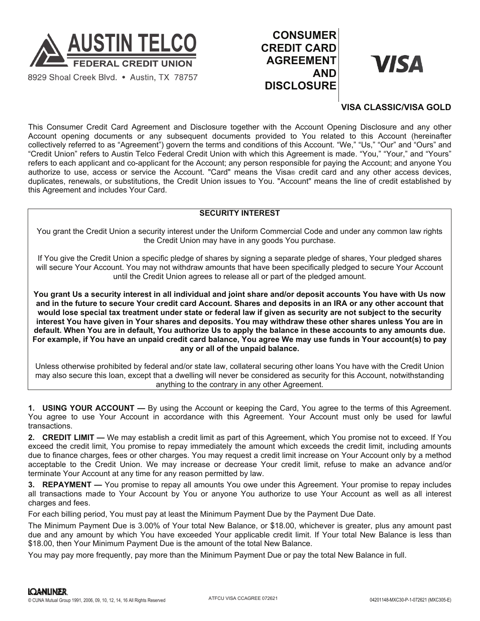

8929 Shoal Creek Blvd. . Austin, TX 78757

## **CONSUMER CREDIT CARD AGREEMENT AND DISCLOSURE**

# VISA

### **VISA CLASSIC/VISA GOLD**

This Consumer Credit Card Agreement and Disclosure together with the Account Opening Disclosure and any other Account opening documents or any subsequent documents provided to You related to this Account (hereinafter collectively referred to as "Agreement") govern the terms and conditions of this Account. "We," "Us," "Our" and "Ours" and "Credit Union" refers to Austin Telco Federal Credit Union with which this Agreement is made. "You," "Your," and "Yours" refers to each applicant and co-applicant for the Account; any person responsible for paying the Account; and anyone You authorize to use, access or service the Account. "Card" means the Visa® credit card and any other access devices, duplicates, renewals, or substitutions, the Credit Union issues to You. "Account" means the line of credit established by this Agreement and includes Your Card.

#### **SECURITY INTEREST**

You grant the Credit Union a security interest under the Uniform Commercial Code and under any common law rights the Credit Union may have in any goods You purchase.

If You give the Credit Union a specific pledge of shares by signing a separate pledge of shares, Your pledged shares will secure Your Account. You may not withdraw amounts that have been specifically pledged to secure Your Account until the Credit Union agrees to release all or part of the pledged amount.

**You grant Us a security interest in all individual and joint share and/or deposit accounts You have with Us now and in the future to secure Your credit card Account. Shares and deposits in an IRA or any other account that would lose special tax treatment under state or federal law if given as security are not subject to the security interest You have given in Your shares and deposits. You may withdraw these other shares unless You are in default. When You are in default, You authorize Us to apply the balance in these accounts to any amounts due. For example, if You have an unpaid credit card balance, You agree We may use funds in Your account(s) to pay any or all of the unpaid balance.**

Unless otherwise prohibited by federal and/or state law, collateral securing other loans You have with the Credit Union may also secure this loan, except that a dwelling will never be considered as security for this Account, notwithstanding anything to the contrary in any other Agreement.

**1. USING YOUR ACCOUNT —** By using the Account or keeping the Card, You agree to the terms of this Agreement. You agree to use Your Account in accordance with this Agreement. Your Account must only be used for lawful transactions.

**2. CREDIT LIMIT —** We may establish a credit limit as part of this Agreement, which You promise not to exceed. If You exceed the credit limit, You promise to repay immediately the amount which exceeds the credit limit, including amounts due to finance charges, fees or other charges. You may request a credit limit increase on Your Account only by a method acceptable to the Credit Union. We may increase or decrease Your credit limit, refuse to make an advance and/or terminate Your Account at any time for any reason permitted by law.

**3. REPAYMENT —** You promise to repay all amounts You owe under this Agreement. Your promise to repay includes all transactions made to Your Account by You or anyone You authorize to use Your Account as well as all interest charges and fees.

For each billing period, You must pay at least the Minimum Payment Due by the Payment Due Date.

The Minimum Payment Due is 3.00% of Your total New Balance, or \$18.00, whichever is greater, plus any amount past due and any amount by which You have exceeded Your applicable credit limit. If Your total New Balance is less than \$18.00, then Your Minimum Payment Due is the amount of the total New Balance.

You may pay more frequently, pay more than the Minimum Payment Due or pay the total New Balance in full.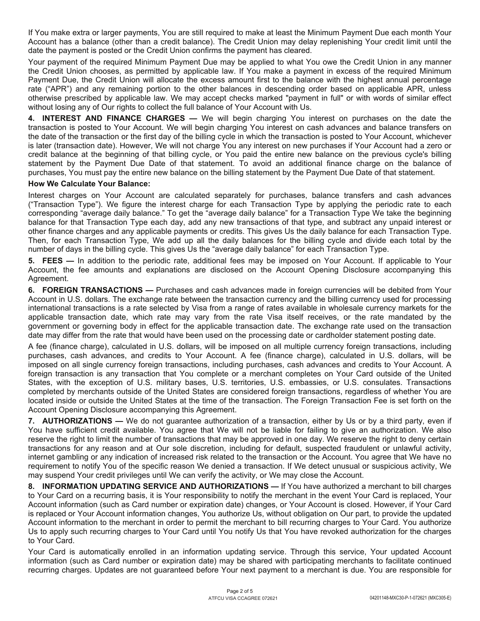If You make extra or larger payments, You are still required to make at least the Minimum Payment Due each month Your Account has a balance (other than a credit balance). The Credit Union may delay replenishing Your credit limit until the date the payment is posted or the Credit Union confirms the payment has cleared.

Your payment of the required Minimum Payment Due may be applied to what You owe the Credit Union in any manner the Credit Union chooses, as permitted by applicable law. If You make a payment in excess of the required Minimum Payment Due, the Credit Union will allocate the excess amount first to the balance with the highest annual percentage rate ("APR") and any remaining portion to the other balances in descending order based on applicable APR, unless otherwise prescribed by applicable law. We may accept checks marked "payment in full" or with words of similar effect without losing any of Our rights to collect the full balance of Your Account with Us.

**4. INTEREST AND FINANCE CHARGES —** We will begin charging You interest on purchases on the date the transaction is posted to Your Account. We will begin charging You interest on cash advances and balance transfers on the date of the transaction or the first day of the billing cycle in which the transaction is posted to Your Account, whichever is later (transaction date). However, We will not charge You any interest on new purchases if Your Account had a zero or credit balance at the beginning of that billing cycle, or You paid the entire new balance on the previous cycle's billing statement by the Payment Due Date of that statement. To avoid an additional finance charge on the balance of purchases, You must pay the entire new balance on the billing statement by the Payment Due Date of that statement.

#### **How We Calculate Your Balance:**

Interest charges on Your Account are calculated separately for purchases, balance transfers and cash advances ("Transaction Type"). We figure the interest charge for each Transaction Type by applying the periodic rate to each corresponding "average daily balance." To get the "average daily balance" for a Transaction Type We take the beginning balance for that Transaction Type each day, add any new transactions of that type, and subtract any unpaid interest or other finance charges and any applicable payments or credits. This gives Us the daily balance for each Transaction Type. Then, for each Transaction Type, We add up all the daily balances for the billing cycle and divide each total by the number of days in the billing cycle. This gives Us the "average daily balance" for each Transaction Type.

**5. FEES —** In addition to the periodic rate, additional fees may be imposed on Your Account. If applicable to Your Account, the fee amounts and explanations are disclosed on the Account Opening Disclosure accompanying this Agreement.

**6. FOREIGN TRANSACTIONS —** Purchases and cash advances made in foreign currencies will be debited from Your Account in U.S. dollars. The exchange rate between the transaction currency and the billing currency used for processing international transactions is a rate selected by Visa from a range of rates available in wholesale currency markets for the applicable transaction date, which rate may vary from the rate Visa itself receives, or the rate mandated by the government or governing body in effect for the applicable transaction date. The exchange rate used on the transaction date may differ from the rate that would have been used on the processing date or cardholder statement posting date.

A fee (finance charge), calculated in U.S. dollars, will be imposed on all multiple currency foreign transactions, including purchases, cash advances, and credits to Your Account. A fee (finance charge), calculated in U.S. dollars, will be imposed on all single currency foreign transactions, including purchases, cash advances and credits to Your Account. A foreign transaction is any transaction that You complete or a merchant completes on Your Card outside of the United States, with the exception of U.S. military bases, U.S. territories, U.S. embassies, or U.S. consulates. Transactions completed by merchants outside of the United States are considered foreign transactions, regardless of whether You are located inside or outside the United States at the time of the transaction. The Foreign Transaction Fee is set forth on the Account Opening Disclosure accompanying this Agreement.

**7. AUTHORIZATIONS —** We do not guarantee authorization of a transaction, either by Us or by a third party, even if You have sufficient credit available. You agree that We will not be liable for failing to give an authorization. We also reserve the right to limit the number of transactions that may be approved in one day. We reserve the right to deny certain transactions for any reason and at Our sole discretion, including for default, suspected fraudulent or unlawful activity, internet gambling or any indication of increased risk related to the transaction or the Account. You agree that We have no requirement to notify You of the specific reason We denied a transaction. If We detect unusual or suspicious activity, We may suspend Your credit privileges until We can verify the activity, or We may close the Account.

**8. INFORMATION UPDATING SERVICE AND AUTHORIZATIONS —** If You have authorized a merchant to bill charges to Your Card on a recurring basis, it is Your responsibility to notify the merchant in the event Your Card is replaced, Your Account information (such as Card number or expiration date) changes, or Your Account is closed. However, if Your Card is replaced or Your Account information changes, You authorize Us, without obligation on Our part, to provide the updated Account information to the merchant in order to permit the merchant to bill recurring charges to Your Card. You authorize Us to apply such recurring charges to Your Card until You notify Us that You have revoked authorization for the charges to Your Card.

Your Card is automatically enrolled in an information updating service. Through this service, Your updated Account information (such as Card number or expiration date) may be shared with participating merchants to facilitate continued recurring charges. Updates are not guaranteed before Your next payment to a merchant is due. You are responsible for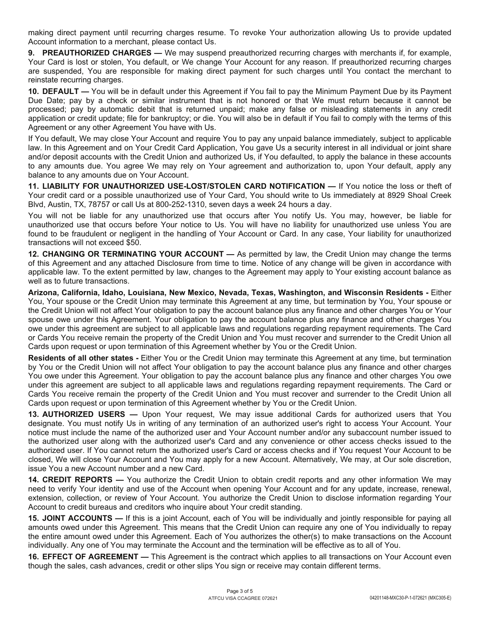making direct payment until recurring charges resume. To revoke Your authorization allowing Us to provide updated Account information to a merchant, please contact Us.

**9. PREAUTHORIZED CHARGES —** We may suspend preauthorized recurring charges with merchants if, for example, Your Card is lost or stolen, You default, or We change Your Account for any reason. If preauthorized recurring charges are suspended, You are responsible for making direct payment for such charges until You contact the merchant to reinstate recurring charges.

**10. DEFAULT —** You will be in default under this Agreement if You fail to pay the Minimum Payment Due by its Payment Due Date; pay by a check or similar instrument that is not honored or that We must return because it cannot be processed; pay by automatic debit that is returned unpaid; make any false or misleading statements in any credit application or credit update; file for bankruptcy; or die. You will also be in default if You fail to comply with the terms of this Agreement or any other Agreement You have with Us.

If You default, We may close Your Account and require You to pay any unpaid balance immediately, subject to applicable law. In this Agreement and on Your Credit Card Application, You gave Us a security interest in all individual or joint share and/or deposit accounts with the Credit Union and authorized Us, if You defaulted, to apply the balance in these accounts to any amounts due. You agree We may rely on Your agreement and authorization to, upon Your default, apply any balance to any amounts due on Your Account.

**11. LIABILITY FOR UNAUTHORIZED USE-LOST/STOLEN CARD NOTIFICATION —** If You notice the loss or theft of Your credit card or a possible unauthorized use of Your Card, You should write to Us immediately at 8929 Shoal Creek Blvd, Austin, TX, 78757 or call Us at 800-252-1310, seven days a week 24 hours a day.

You will not be liable for any unauthorized use that occurs after You notify Us. You may, however, be liable for unauthorized use that occurs before Your notice to Us. You will have no liability for unauthorized use unless You are found to be fraudulent or negligent in the handling of Your Account or Card. In any case, Your liability for unauthorized transactions will not exceed \$50.

**12. CHANGING OR TERMINATING YOUR ACCOUNT —** As permitted by law, the Credit Union may change the terms of this Agreement and any attached Disclosure from time to time. Notice of any change will be given in accordance with applicable law. To the extent permitted by law, changes to the Agreement may apply to Your existing account balance as well as to future transactions.

**Arizona, California, Idaho, Louisiana, New Mexico, Nevada, Texas, Washington, and Wisconsin Residents -** Either You, Your spouse or the Credit Union may terminate this Agreement at any time, but termination by You, Your spouse or the Credit Union will not affect Your obligation to pay the account balance plus any finance and other charges You or Your spouse owe under this Agreement. Your obligation to pay the account balance plus any finance and other charges You owe under this agreement are subject to all applicable laws and regulations regarding repayment requirements. The Card or Cards You receive remain the property of the Credit Union and You must recover and surrender to the Credit Union all Cards upon request or upon termination of this Agreement whether by You or the Credit Union.

**Residents of all other states -** Either You or the Credit Union may terminate this Agreement at any time, but termination by You or the Credit Union will not affect Your obligation to pay the account balance plus any finance and other charges You owe under this Agreement. Your obligation to pay the account balance plus any finance and other charges You owe under this agreement are subject to all applicable laws and regulations regarding repayment requirements. The Card or Cards You receive remain the property of the Credit Union and You must recover and surrender to the Credit Union all Cards upon request or upon termination of this Agreement whether by You or the Credit Union.

**13. AUTHORIZED USERS —** Upon Your request, We may issue additional Cards for authorized users that You designate. You must notify Us in writing of any termination of an authorized user's right to access Your Account. Your notice must include the name of the authorized user and Your Account number and/or any subaccount number issued to the authorized user along with the authorized user's Card and any convenience or other access checks issued to the authorized user. If You cannot return the authorized user's Card or access checks and if You request Your Account to be closed, We will close Your Account and You may apply for a new Account. Alternatively, We may, at Our sole discretion, issue You a new Account number and a new Card.

**14. CREDIT REPORTS —** You authorize the Credit Union to obtain credit reports and any other information We may need to verify Your identity and use of the Account when opening Your Account and for any update, increase, renewal, extension, collection, or review of Your Account. You authorize the Credit Union to disclose information regarding Your Account to credit bureaus and creditors who inquire about Your credit standing.

**15. JOINT ACCOUNTS —** If this is a joint Account, each of You will be individually and jointly responsible for paying all amounts owed under this Agreement. This means that the Credit Union can require any one of You individually to repay the entire amount owed under this Agreement. Each of You authorizes the other(s) to make transactions on the Account individually. Any one of You may terminate the Account and the termination will be effective as to all of You.

**16. EFFECT OF AGREEMENT —** This Agreement is the contract which applies to all transactions on Your Account even though the sales, cash advances, credit or other slips You sign or receive may contain different terms.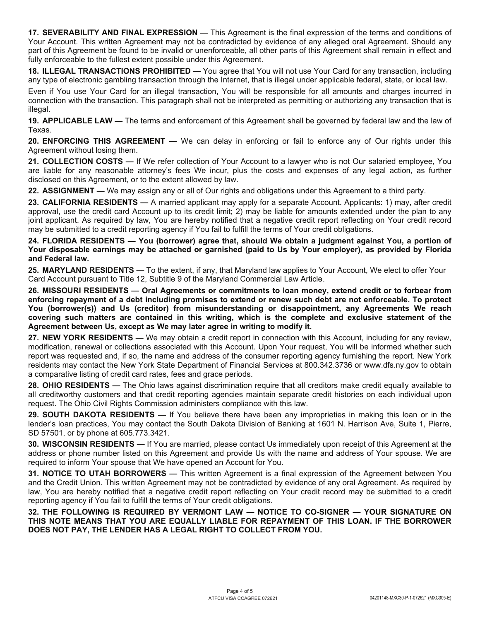**17. SEVERABILITY AND FINAL EXPRESSION —** This Agreement is the final expression of the terms and conditions of Your Account. This written Agreement may not be contradicted by evidence of any alleged oral Agreement. Should any part of this Agreement be found to be invalid or unenforceable, all other parts of this Agreement shall remain in effect and fully enforceable to the fullest extent possible under this Agreement.

**18. ILLEGAL TRANSACTIONS PROHIBITED —** You agree that You will not use Your Card for any transaction, including any type of electronic gambling transaction through the Internet, that is illegal under applicable federal, state, or local law.

Even if You use Your Card for an illegal transaction, You will be responsible for all amounts and charges incurred in connection with the transaction. This paragraph shall not be interpreted as permitting or authorizing any transaction that is illegal.

**19. APPLICABLE LAW —** The terms and enforcement of this Agreement shall be governed by federal law and the law of Texas.

**20. ENFORCING THIS AGREEMENT —** We can delay in enforcing or fail to enforce any of Our rights under this Agreement without losing them.

**21. COLLECTION COSTS —** If We refer collection of Your Account to a lawyer who is not Our salaried employee, You are liable for any reasonable attorney's fees We incur, plus the costs and expenses of any legal action, as further disclosed on this Agreement, or to the extent allowed by law.

**22. ASSIGNMENT —** We may assign any or all of Our rights and obligations under this Agreement to a third party.

**23. CALIFORNIA RESIDENTS —** A married applicant may apply for a separate Account. Applicants: 1) may, after credit approval, use the credit card Account up to its credit limit; 2) may be liable for amounts extended under the plan to any joint applicant. As required by law, You are hereby notified that a negative credit report reflecting on Your credit record may be submitted to a credit reporting agency if You fail to fulfill the terms of Your credit obligations.

**24. FLORIDA RESIDENTS — You (borrower) agree that, should We obtain a judgment against You, a portion of Your disposable earnings may be attached or garnished (paid to Us by Your employer), as provided by Florida and Federal law.**

**25. MARYLAND RESIDENTS —** To the extent, if any, that Maryland law applies to Your Account, We elect to offer Your Card Account pursuant to Title 12, Subtitle 9 of the Maryland Commercial Law Article.

**26. MISSOURI RESIDENTS — Oral Agreements or commitments to loan money, extend credit or to forbear from enforcing repayment of a debt including promises to extend or renew such debt are not enforceable. To protect You (borrower(s)) and Us (creditor) from misunderstanding or disappointment, any Agreements We reach covering such matters are contained in this writing, which is the complete and exclusive statement of the Agreement between Us, except as We may later agree in writing to modify it.**

**27. NEW YORK RESIDENTS —** We may obtain a credit report in connection with this Account, including for any review, modification, renewal or collections associated with this Account. Upon Your request, You will be informed whether such report was requested and, if so, the name and address of the consumer reporting agency furnishing the report. New York residents may contact the New York State Department of Financial Services at 800.342.3736 or www.dfs.ny.gov to obtain a comparative listing of credit card rates, fees and grace periods.

**28. OHIO RESIDENTS —** The Ohio laws against discrimination require that all creditors make credit equally available to all creditworthy customers and that credit reporting agencies maintain separate credit histories on each individual upon request. The Ohio Civil Rights Commission administers compliance with this law.

**29. SOUTH DAKOTA RESIDENTS —** If You believe there have been any improprieties in making this loan or in the lender's loan practices, You may contact the South Dakota Division of Banking at 1601 N. Harrison Ave, Suite 1, Pierre, SD 57501, or by phone at 605.773.3421.

**30. WISCONSIN RESIDENTS —** If You are married, please contact Us immediately upon receipt of this Agreement at the address or phone number listed on this Agreement and provide Us with the name and address of Your spouse. We are required to inform Your spouse that We have opened an Account for You.

**31. NOTICE TO UTAH BORROWERS —** This written Agreement is a final expression of the Agreement between You and the Credit Union. This written Agreement may not be contradicted by evidence of any oral Agreement. As required by law, You are hereby notified that a negative credit report reflecting on Your credit record may be submitted to a credit reporting agency if You fail to fulfill the terms of Your credit obligations.

**32. THE FOLLOWING IS REQUIRED BY VERMONT LAW — NOTICE TO CO-SIGNER — YOUR SIGNATURE ON THIS NOTE MEANS THAT YOU ARE EQUALLY LIABLE FOR REPAYMENT OF THIS LOAN. IF THE BORROWER DOES NOT PAY, THE LENDER HAS A LEGAL RIGHT TO COLLECT FROM YOU.**